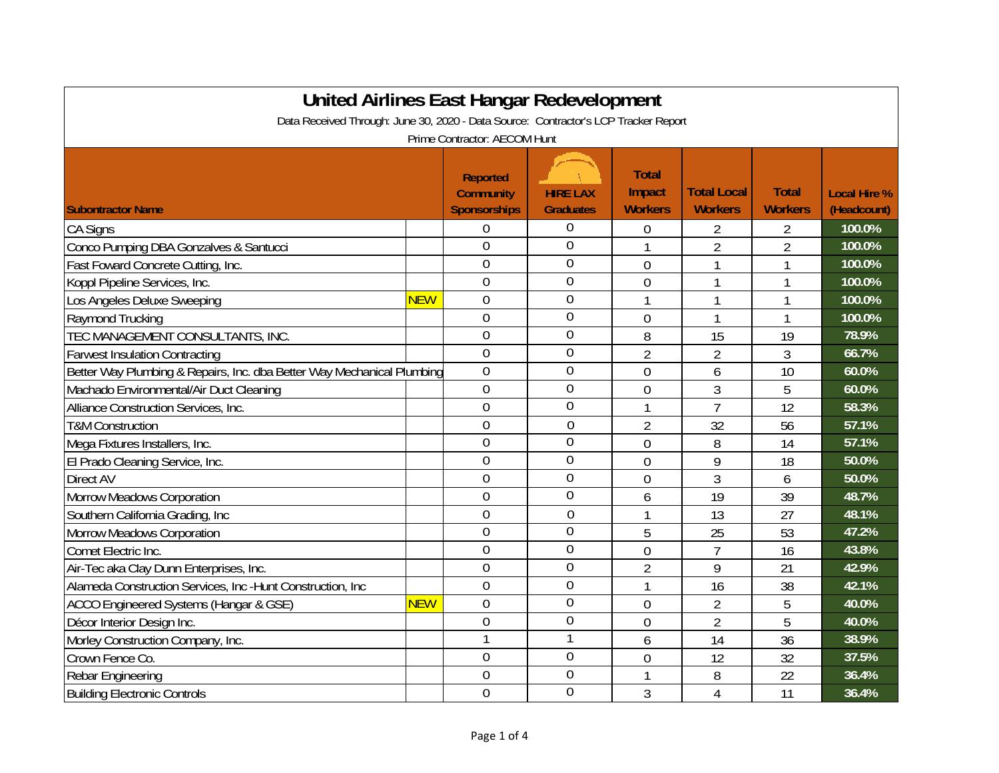| United Airlines East Hangar Redevelopment                                           |            |                                                            |                                     |                                          |                                      |                                |                                    |  |
|-------------------------------------------------------------------------------------|------------|------------------------------------------------------------|-------------------------------------|------------------------------------------|--------------------------------------|--------------------------------|------------------------------------|--|
| Data Received Through: June 30, 2020 - Data Source: Contractor's LCP Tracker Report |            |                                                            |                                     |                                          |                                      |                                |                                    |  |
| Prime Contractor: AECOM Hunt                                                        |            |                                                            |                                     |                                          |                                      |                                |                                    |  |
| <b>Subontractor Name</b>                                                            |            | <b>Reported</b><br><b>Community</b><br><b>Sponsorships</b> | <b>HIRE LAX</b><br><b>Graduates</b> | <b>Total</b><br>Impact<br><b>Workers</b> | <b>Total Local</b><br><b>Workers</b> | <b>Total</b><br><b>Workers</b> | <b>Local Hire %</b><br>(Headcount) |  |
| <b>CA Signs</b>                                                                     |            | $\Omega$                                                   | 0                                   | 0                                        | 2                                    | 2                              | 100.0%                             |  |
| Conco Pumping DBA Gonzalves & Santucci                                              |            | $\overline{0}$                                             | $\mathbf 0$                         |                                          | $\overline{2}$                       | $\overline{2}$                 | 100.0%                             |  |
| Fast Foward Concrete Cutting, Inc.                                                  |            | $\overline{0}$                                             | $\mathbf 0$                         | $\mathbf 0$                              | 1                                    | 1                              | 100.0%                             |  |
| Koppl Pipeline Services, Inc.                                                       |            | $\mathbf 0$                                                | $\overline{0}$                      | $\mathbf 0$                              | 1                                    | 1                              | 100.0%                             |  |
| Los Angeles Deluxe Sweeping                                                         | <b>NEW</b> | $\mathbf 0$                                                | $\overline{0}$                      |                                          |                                      | 1                              | 100.0%                             |  |
| Raymond Trucking                                                                    |            | $\overline{0}$                                             | $\mathbf 0$                         | $\mathbf 0$                              | 1                                    | 1                              | 100.0%                             |  |
| TEC MANAGEMENT CONSULTANTS, INC.                                                    |            | $\mathbf 0$                                                | $\mathbf{0}$                        | 8                                        | 15                                   | 19                             | 78.9%                              |  |
| <b>Farwest Insulation Contracting</b>                                               |            | $\mathbf 0$                                                | $\overline{0}$                      | $\overline{2}$                           | $\overline{2}$                       | 3                              | 66.7%                              |  |
| Better Way Plumbing & Repairs, Inc. dba Better Way Mechanical Plumbing              |            | $\mathbf 0$                                                | $\overline{0}$                      | $\overline{0}$                           | 6                                    | 10                             | 60.0%                              |  |
| Machado Environmental/Air Duct Cleaning                                             |            | 0                                                          | 0                                   | $\boldsymbol{0}$                         | 3                                    | 5                              | 60.0%                              |  |
| Alliance Construction Services, Inc.                                                |            | $\overline{0}$                                             | $\overline{0}$                      | 1                                        | $\overline{7}$                       | 12                             | 58.3%                              |  |
| <b>T&amp;M Construction</b>                                                         |            | $\Omega$                                                   | $\overline{0}$                      | $\overline{2}$                           | 32                                   | 56                             | 57.1%                              |  |
| Mega Fixtures Installers, Inc.                                                      |            | $\overline{0}$                                             | $\mathbf 0$                         | $\overline{0}$                           | 8                                    | 14                             | 57.1%                              |  |
| El Prado Cleaning Service, Inc.                                                     |            | $\mathbf 0$                                                | $\overline{0}$                      | $\overline{0}$                           | 9                                    | 18                             | 50.0%                              |  |
| Direct AV                                                                           |            | $\overline{0}$                                             | $\overline{0}$                      | $\overline{0}$                           | 3                                    | 6                              | 50.0%                              |  |
| <b>Morrow Meadows Corporation</b>                                                   |            | $\overline{0}$                                             | $\mathbf 0$                         | 6                                        | 19                                   | 39                             | 48.7%                              |  |
| Southern California Grading, Inc.                                                   |            | $\overline{0}$                                             | $\overline{0}$                      | 1                                        | 13                                   | 27                             | 48.1%                              |  |
| <b>Morrow Meadows Corporation</b>                                                   |            | $\overline{0}$                                             | $\overline{0}$                      | 5                                        | 25                                   | 53                             | 47.2%                              |  |
| Comet Electric Inc.                                                                 |            | $\overline{0}$                                             | $\mathbf 0$                         | $\overline{0}$                           | $\overline{7}$                       | 16                             | 43.8%                              |  |
| Air-Tec aka Clay Dunn Enterprises, Inc.                                             |            | $\overline{0}$                                             | $\mathbf 0$                         | $\overline{2}$                           | 9                                    | 21                             | 42.9%                              |  |
| Alameda Construction Services, Inc -Hunt Construction, Inc                          |            | $\mathbf 0$                                                | $\mathbf 0$                         | 1                                        | 16                                   | 38                             | 42.1%                              |  |
| <b>ACCO Engineered Systems (Hangar &amp; GSE)</b>                                   | <b>NEW</b> | $\overline{0}$                                             | $\mathbf 0$                         | $\mathbf 0$                              | $\overline{2}$                       | 5                              | 40.0%                              |  |
| Décor Interior Design Inc.                                                          |            | $\theta$                                                   | $\overline{0}$                      | $\mathbf 0$                              | 2                                    | 5                              | 40.0%                              |  |
| Morley Construction Company, Inc.                                                   |            | $\mathbf{1}$                                               | 1                                   | 6                                        | 14                                   | 36                             | 38.9%                              |  |
| Crown Fence Co.                                                                     |            | $\overline{0}$                                             | $\overline{0}$                      | $\mathbf 0$                              | 12                                   | 32                             | 37.5%                              |  |
| Rebar Engineering                                                                   |            | $\overline{0}$                                             | 0                                   |                                          | 8                                    | 22                             | 36.4%                              |  |
| <b>Building Electronic Controls</b>                                                 |            | $\overline{0}$                                             | $\overline{0}$                      | 3                                        | $\overline{4}$                       | 11                             | 36.4%                              |  |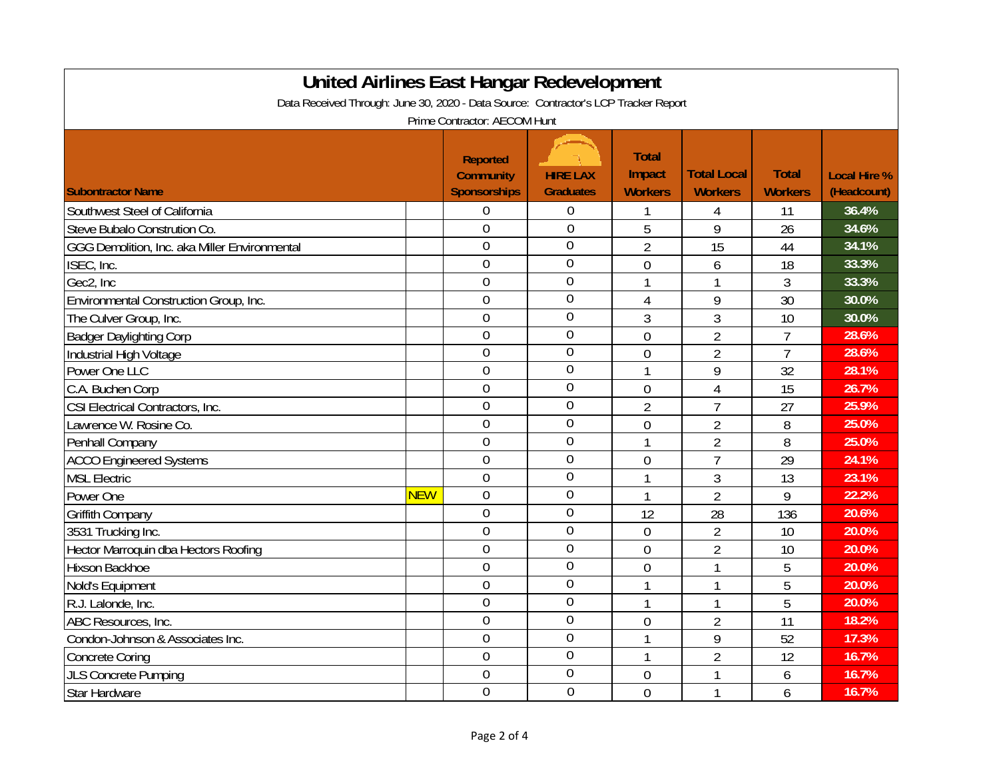| <b>United Airlines East Hangar Redevelopment</b>                                    |            |                     |                  |                |                    |                |                     |  |  |
|-------------------------------------------------------------------------------------|------------|---------------------|------------------|----------------|--------------------|----------------|---------------------|--|--|
| Data Received Through: June 30, 2020 - Data Source: Contractor's LCP Tracker Report |            |                     |                  |                |                    |                |                     |  |  |
| Prime Contractor: AECOM Hunt                                                        |            |                     |                  |                |                    |                |                     |  |  |
|                                                                                     |            |                     |                  |                |                    |                |                     |  |  |
|                                                                                     |            | <b>Reported</b>     |                  | <b>Total</b>   |                    |                |                     |  |  |
|                                                                                     |            | <b>Community</b>    | <b>HIRE LAX</b>  | Impact         | <b>Total Local</b> | <b>Total</b>   | <b>Local Hire %</b> |  |  |
| <b>Subontractor Name</b>                                                            |            | <b>Sponsorships</b> | <b>Graduates</b> | <b>Workers</b> | <b>Workers</b>     | <b>Workers</b> | (Headcount)         |  |  |
| Southwest Steel of California                                                       |            | $\theta$            | $\mathbf 0$      |                | 4                  | 11             | 36.4%               |  |  |
| Steve Bubalo Constrution Co.                                                        |            | $\theta$            | $\theta$         | 5              | 9                  | 26             | 34.6%               |  |  |
| GGG Demolition, Inc. aka Miller Environmental                                       |            | $\theta$            | $\theta$         | $\overline{2}$ | 15                 | 44             | 34.1%               |  |  |
| ISEC, Inc.                                                                          |            | $\theta$            | $\overline{0}$   | $\overline{0}$ | 6                  | 18             | 33.3%               |  |  |
| Gec2, Inc                                                                           |            | $\overline{0}$      | $\overline{0}$   | $\mathbf{1}$   | $\mathbf{1}$       | 3              | 33.3%               |  |  |
| Environmental Construction Group, Inc.                                              |            | $\mathbf 0$         | $\overline{0}$   | $\overline{4}$ | 9                  | 30             | 30.0%               |  |  |
| The Culver Group, Inc.                                                              |            | $\overline{0}$      | $\overline{0}$   | 3              | 3                  | 10             | 30.0%               |  |  |
| <b>Badger Daylighting Corp</b>                                                      |            | $\mathbf 0$         | $\overline{0}$   | $\mathbf 0$    | $\overline{2}$     | $\overline{7}$ | 28.6%               |  |  |
| Industrial High Voltage                                                             |            | $\overline{0}$      | $\theta$         | $\mathbf{0}$   | $\overline{2}$     | $\overline{7}$ | 28.6%               |  |  |
| Power One LLC                                                                       |            | $\overline{0}$      | $\overline{0}$   | 1              | 9                  | 32             | 28.1%               |  |  |
| C.A. Buchen Corp                                                                    |            | $\overline{0}$      | $\overline{0}$   | $\overline{0}$ | $\overline{4}$     | 15             | 26.7%               |  |  |
| CSI Electrical Contractors, Inc.                                                    |            | $\overline{0}$      | $\overline{0}$   | $\overline{2}$ | $\overline{7}$     | 27             | 25.9%               |  |  |
| Lawrence W. Rosine Co.                                                              |            | $\overline{0}$      | $\theta$         | $\overline{0}$ | $\overline{2}$     | 8              | 25.0%               |  |  |
| Penhall Company                                                                     |            | $\overline{0}$      | $\overline{0}$   | $\mathbf{1}$   | $\overline{2}$     | 8              | 25.0%               |  |  |
| <b>ACCO Engineered Systems</b>                                                      |            | $\mathbf 0$         | $\overline{0}$   | $\overline{0}$ | $\overline{7}$     | 29             | 24.1%               |  |  |
| <b>MSL Electric</b>                                                                 |            | $\mathbf 0$         | $\overline{0}$   | $\mathbf{1}$   | $\mathfrak{Z}$     | 13             | 23.1%               |  |  |
| Power One                                                                           | <b>NEW</b> | $\overline{0}$      | $\overline{0}$   | $\mathbf{1}$   | $\overline{2}$     | 9              | 22.2%               |  |  |
| <b>Griffith Company</b>                                                             |            | $\mathbf 0$         | $\overline{0}$   | 12             | 28                 | 136            | 20.6%               |  |  |
| 3531 Trucking Inc.                                                                  |            | $\overline{0}$      | $\theta$         | $\mathbf 0$    | $\overline{2}$     | 10             | 20.0%               |  |  |
| Hector Marroquin dba Hectors Roofing                                                |            | $\overline{0}$      | $\overline{0}$   | $\overline{0}$ | $\overline{2}$     | 10             | 20.0%               |  |  |
| Hixson Backhoe                                                                      |            | $\overline{0}$      | $\overline{0}$   | $\overline{0}$ | $\mathbf{1}$       | 5              | 20.0%               |  |  |
| Nold's Equipment                                                                    |            | $\overline{0}$      | $\overline{0}$   | $\mathbf{1}$   | 1                  | 5              | 20.0%               |  |  |
| R.J. Lalonde, Inc.                                                                  |            | $\overline{0}$      | $\mathbf 0$      | $\mathbf{1}$   | $\mathbf{1}$       | 5              | 20.0%               |  |  |
| ABC Resources, Inc.                                                                 |            | $\overline{0}$      | $\mathbf 0$      | $\overline{0}$ | $\overline{2}$     | 11             | 18.2%               |  |  |
| Condon-Johnson & Associates Inc.                                                    |            | $\mathbf 0$         | $\mathbf 0$      | 1              | 9                  | 52             | 17.3%               |  |  |
| <b>Concrete Coring</b>                                                              |            | $\overline{0}$      | $\mathbf 0$      | 1              | $\overline{2}$     | 12             | 16.7%               |  |  |
| <b>JLS Concrete Pumping</b>                                                         |            | $\theta$            | $\overline{0}$   | 0              | 1                  | 6              | 16.7%               |  |  |
| Star Hardware                                                                       |            | $\overline{0}$      | $\overline{0}$   | $\overline{0}$ | 1                  | 6              | 16.7%               |  |  |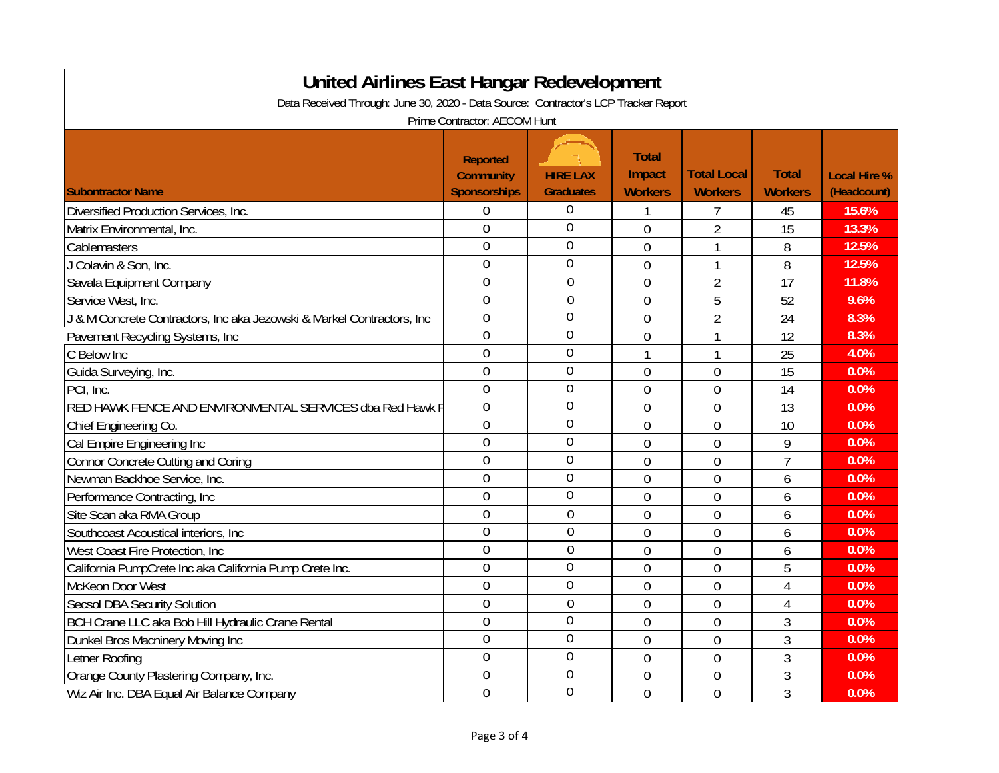| <b>United Airlines East Hangar Redevelopment</b>                                    |                     |                                     |                |                    |                |                     |  |  |
|-------------------------------------------------------------------------------------|---------------------|-------------------------------------|----------------|--------------------|----------------|---------------------|--|--|
| Data Received Through: June 30, 2020 - Data Source: Contractor's LCP Tracker Report |                     |                                     |                |                    |                |                     |  |  |
| Prime Contractor: AECOM Hunt                                                        |                     |                                     |                |                    |                |                     |  |  |
|                                                                                     |                     |                                     |                |                    |                |                     |  |  |
|                                                                                     | <b>Reported</b>     |                                     | <b>Total</b>   |                    |                |                     |  |  |
|                                                                                     | <b>Community</b>    | <b>HIRE LAX</b><br><b>Graduates</b> | Impact         | <b>Total Local</b> | <b>Total</b>   | <b>Local Hire %</b> |  |  |
| <b>Subontractor Name</b>                                                            | <b>Sponsorships</b> |                                     | <b>Workers</b> | <b>Workers</b>     | <b>Workers</b> | (Headcount)         |  |  |
| Diversified Production Services, Inc.                                               | $\theta$            | 0                                   |                |                    | 45             | 15.6%               |  |  |
| Matrix Environmental, Inc.                                                          | $\theta$            | $\mathbf{0}$                        | $\overline{0}$ | $\overline{2}$     | 15             | 13.3%               |  |  |
| Cablemasters                                                                        | $\overline{0}$      | $\overline{0}$                      | $\overline{0}$ | 1                  | 8              | 12.5%               |  |  |
| J Colavin & Son, Inc.                                                               | $\overline{0}$      | $\overline{0}$                      | $\overline{0}$ | 1                  | 8              | 12.5%               |  |  |
| Savala Equipment Company                                                            | $\overline{0}$      | $\overline{0}$                      | $\overline{0}$ | $\overline{2}$     | 17             | 11.8%               |  |  |
| Service West, Inc.                                                                  | $\overline{0}$      | $\overline{0}$                      | $\overline{0}$ | 5                  | 52             | 9.6%                |  |  |
| J & M Concrete Contractors, Inc aka Jezowski & Markel Contractors, Inc              | $\overline{0}$      | $\mathbf 0$                         | $\overline{0}$ | $\overline{2}$     | 24             | 8.3%                |  |  |
| Pavement Recycling Systems, Inc.                                                    | $\overline{0}$      | $\overline{0}$                      | $\overline{0}$ | 1                  | 12             | 8.3%                |  |  |
| C Below Inc                                                                         | 0                   | 0                                   |                |                    | 25             | 4.0%                |  |  |
| Guida Surveying, Inc.                                                               | $\overline{0}$      | $\mathbf{0}$                        | $\overline{0}$ | $\overline{0}$     | 15             | 0.0%                |  |  |
| PCI, Inc.                                                                           | $\overline{0}$      | $\overline{0}$                      | $\overline{0}$ | $\overline{0}$     | 14             | 0.0%                |  |  |
| RED HAWK FENCE AND ENVIRONMENTAL SERVICES dba Red Hawk F                            | $\overline{0}$      | $\mathbf{0}$                        | $\overline{0}$ | $\mathbf 0$        | 13             | 0.0%                |  |  |
| Chief Engineering Co.                                                               | $\overline{0}$      | $\overline{0}$                      | $\overline{0}$ | $\mathbf 0$        | 10             | 0.0%                |  |  |
| Cal Empire Engineering Inc                                                          | $\overline{0}$      | $\overline{0}$                      | $\overline{0}$ | $\mathbf 0$        | 9              | 0.0%                |  |  |
| <b>Connor Concrete Cutting and Coring</b>                                           | $\overline{0}$      | $\overline{0}$                      | $\overline{0}$ | $\overline{0}$     | $\overline{1}$ | 0.0%                |  |  |
| Newman Backhoe Service, Inc.                                                        | $\overline{0}$      | $\mathbf 0$                         | $\overline{0}$ | $\mathbf 0$        | 6              | 0.0%                |  |  |
| Performance Contracting, Inc.                                                       | $\overline{0}$      | $\overline{0}$                      | $\overline{0}$ | $\mathbf{0}$       | 6              | 0.0%                |  |  |
| Site Scan aka RMA Group                                                             | $\overline{0}$      | $\overline{0}$                      | $\overline{0}$ | $\overline{0}$     | 6              | 0.0%                |  |  |
| Southcoast Acoustical interiors, Inc.                                               | $\overline{0}$      | $\theta$                            | $\overline{0}$ | $\overline{0}$     | 6              | 0.0%                |  |  |
| West Coast Fire Protection, Inc                                                     | $\overline{0}$      | $\overline{0}$                      | $\overline{0}$ | $\overline{0}$     | 6              | 0.0%                |  |  |
| California PumpCrete Inc aka California Pump Crete Inc.                             | $\overline{0}$      | $\overline{0}$                      | $\overline{0}$ | $\overline{0}$     | 5              | 0.0%                |  |  |
| McKeon Door West                                                                    | $\overline{0}$      | $\overline{0}$                      | $\overline{0}$ | $\mathbf{0}$       | $\overline{4}$ | 0.0%                |  |  |
| <b>Secsol DBA Security Solution</b>                                                 | $\overline{0}$      | $\mathbf 0$                         | $\overline{0}$ | $\mathbf 0$        | $\overline{4}$ | 0.0%                |  |  |
| BCH Crane LLC aka Bob Hill Hydraulic Crane Rental                                   | $\overline{0}$      | $\overline{0}$                      | $\overline{0}$ | $\mathbf 0$        | 3              | 0.0%                |  |  |
| Dunkel Bros Macninery Moving Inc                                                    | $\overline{0}$      | $\overline{0}$                      | $\overline{0}$ | $\mathbf 0$        | 3              | 0.0%                |  |  |
| Letner Roofing                                                                      | $\overline{0}$      | 0                                   | 0              | $\mathbf 0$        | 3              | 0.0%                |  |  |
| Orange County Plastering Company, Inc.                                              | $\overline{0}$      | $\overline{0}$                      | $\overline{0}$ | $\overline{0}$     | 3              | 0.0%                |  |  |
| Wiz Air Inc. DBA Equal Air Balance Company                                          | $\overline{0}$      | $\overline{0}$                      | $\overline{0}$ | $\overline{0}$     | 3              | 0.0%                |  |  |